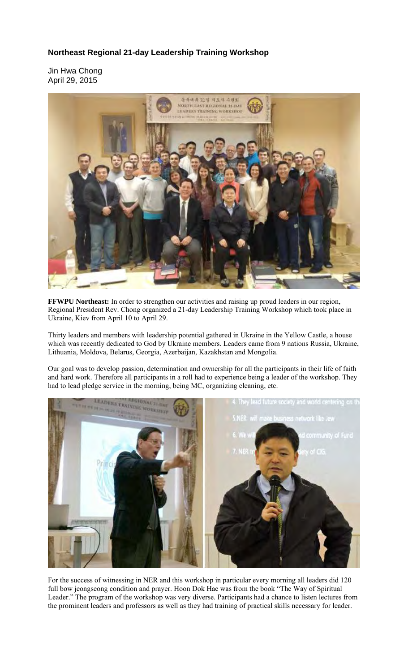## **Northeast Regional 21-day Leadership Training Workshop**

Jin Hwa Chong April 29, 2015



**FFWPU Northeast:** In order to strengthen our activities and raising up proud leaders in our region, Regional President Rev. Chong organized a 21-day Leadership Training Workshop which took place in Ukraine, Kiev from April 10 to April 29.

Thirty leaders and members with leadership potential gathered in Ukraine in the Yellow Castle, a house which was recently dedicated to God by Ukraine members. Leaders came from 9 nations Russia, Ukraine, Lithuania, Moldova, Belarus, Georgia, Azerbaijan, Kazakhstan and Mongolia.

Our goal was to develop passion, determination and ownership for all the participants in their life of faith and hard work. Therefore all participants in a roll had to experience being a leader of the workshop. They had to lead pledge service in the morning, being MC, organizing cleaning, etc.



For the success of witnessing in NER and this workshop in particular every morning all leaders did 120 full bow jeongseong condition and prayer. Hoon Dok Hae was from the book "The Way of Spiritual Leader." The program of the workshop was very diverse. Participants had a chance to listen lectures from the prominent leaders and professors as well as they had training of practical skills necessary for leader.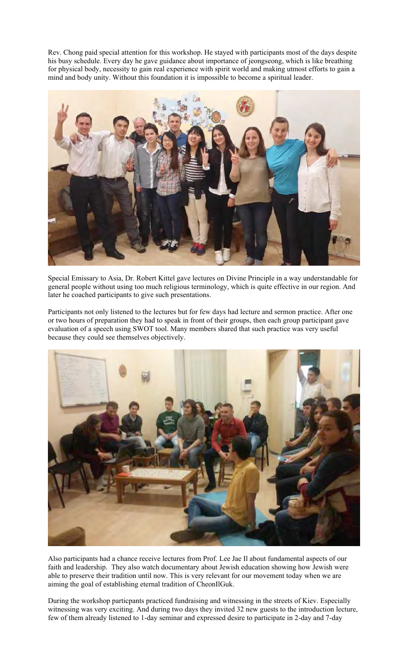Rev. Chong paid special attention for this workshop. He stayed with participants most of the days despite his busy schedule. Every day he gave guidance about importance of jeongseong, which is like breathing for physical body, necessity to gain real experience with spirit world and making utmost efforts to gain a mind and body unity. Without this foundation it is impossible to become a spiritual leader.



Special Emissary to Asia, Dr. Robert Kittel gave lectures on Divine Principle in a way understandable for general people without using too much religious terminology, which is quite effective in our region. And later he coached participants to give such presentations.

Participants not only listened to the lectures but for few days had lecture and sermon practice. After one or two hours of preparation they had to speak in front of their groups, then each group participant gave evaluation of a speech using SWOT tool. Many members shared that such practice was very useful because they could see themselves objectively.



Also participants had a chance receive lectures from Prof. Lee Jae Il about fundamental aspects of our faith and leadership. They also watch documentary about Jewish education showing how Jewish were able to preserve their tradition until now. This is very relevant for our movement today when we are aiming the goal of establishing eternal tradition of CheonIlGuk.

During the workshop particpants practiced fundraising and witnessing in the streets of Kiev. Especially witnessing was very exciting. And during two days they invited 32 new guests to the introduction lecture, few of them already listened to 1-day seminar and expressed desire to participate in 2-day and 7-day